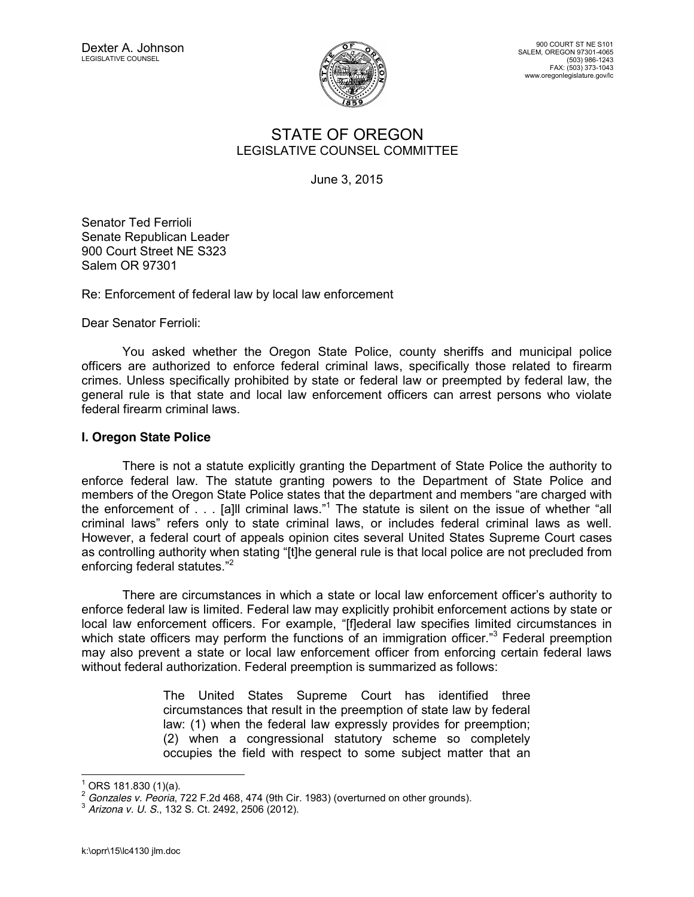

900 COURT ST NE S101 SALEM, OREGON 97301-4065 (503) 986-1243 FAX: (503) 373-1043 www.oregonlegislature.gov/lc

## STATE OF OREGON LEGISLATIVE COUNSEL COMMITTEE

June 3, 2015

Senator Ted Ferrioli Senate Republican Leader 900 Court Street NE S323 Salem OR 97301

Re: Enforcement of federal law by local law enforcement

Dear Senator Ferrioli:

You asked whether the Oregon State Police, county sheriffs and municipal police officers are authorized to enforce federal criminal laws, specifically those related to firearm crimes. Unless specifically prohibited by state or federal law or preempted by federal law, the general rule is that state and local law enforcement officers can arrest persons who violate federal firearm criminal laws.

## **I. Oregon State Police**

There is not a statute explicitly granting the Department of State Police the authority to enforce federal law. The statute granting powers to the Department of State Police and members of the Oregon State Police states that the department and members "are charged with the enforcement of . . . [a]ll criminal laws."<sup>1</sup> The statute is silent on the issue of whether "all criminal laws" refers only to state criminal laws, or includes federal criminal laws as well. However, a federal court of appeals opinion cites several United States Supreme Court cases as controlling authority when stating "[t]he general rule is that local police are not precluded from enforcing federal statutes."<sup>2</sup>

There are circumstances in which a state or local law enforcement officer's authority to enforce federal law is limited. Federal law may explicitly prohibit enforcement actions by state or local law enforcement officers. For example, "[f]ederal law specifies limited circumstances in which state officers may perform the functions of an immigration officer.<sup>3</sup> Federal preemption may also prevent a state or local law enforcement officer from enforcing certain federal laws without federal authorization. Federal preemption is summarized as follows:

> The United States Supreme Court has identified three circumstances that result in the preemption of state law by federal law: (1) when the federal law expressly provides for preemption; (2) when a congressional statutory scheme so completely occupies the field with respect to some subject matter that an

<sup>&</sup>lt;sup>1</sup> ORS 181.830 (1)(a).<br><sup>2</sup> *Gonzales v. Peoria*, 722 F.2d 468, 474 (9th Cir. 1983) (overturned on other grounds).<br><sup>3</sup> *Arizona v. U. S.*, 132 S. Ct. 2492, 2506 (2012).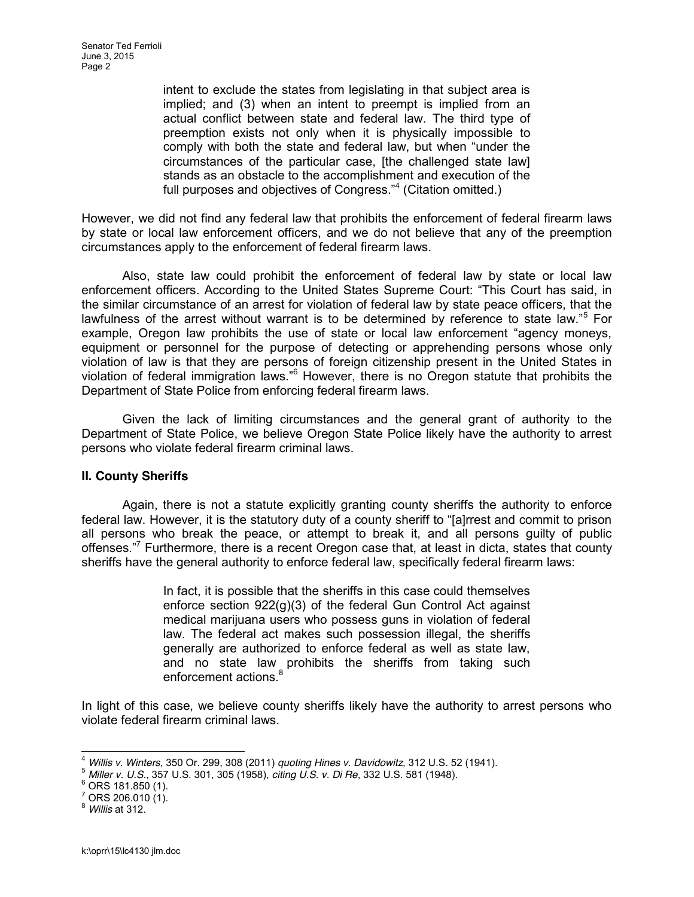intent to exclude the states from legislating in that subject area is implied; and (3) when an intent to preempt is implied from an actual conflict between state and federal law. The third type of preemption exists not only when it is physically impossible to comply with both the state and federal law, but when "under the circumstances of the particular case, [the challenged state law] stands as an obstacle to the accomplishment and execution of the full purposes and objectives of Congress." $4$  (Citation omitted.)

However, we did not find any federal law that prohibits the enforcement of federal firearm laws by state or local law enforcement officers, and we do not believe that any of the preemption circumstances apply to the enforcement of federal firearm laws.

Also, state law could prohibit the enforcement of federal law by state or local law enforcement officers. According to the United States Supreme Court: "This Court has said, in the similar circumstance of an arrest for violation of federal law by state peace officers, that the lawfulness of the arrest without warrant is to be determined by reference to state law."<sup>5</sup> For example, Oregon law prohibits the use of state or local law enforcement "agency moneys, equipment or personnel for the purpose of detecting or apprehending persons whose only violation of law is that they are persons of foreign citizenship present in the United States in violation of federal immigration laws."<sup>6</sup> However, there is no Oregon statute that prohibits the Department of State Police from enforcing federal firearm laws.

Given the lack of limiting circumstances and the general grant of authority to the Department of State Police, we believe Oregon State Police likely have the authority to arrest persons who violate federal firearm criminal laws.

## **II. County Sheriffs**

Again, there is not a statute explicitly granting county sheriffs the authority to enforce federal law. However, it is the statutory duty of a county sheriff to "[a] rrest and commit to prison all persons who break the peace, or attempt to break it, and all persons guilty of public offenses."<sup>7</sup> Furthermore, there is a recent Oregon case that, at least in dicta, states that county sheriffs have the general authority to enforce federal law, specifically federal firearm laws:

> In fact, it is possible that the sheriffs in this case could themselves enforce section 922(g)(3) of the federal Gun Control Act against medical marijuana users who possess guns in violation of federal law. The federal act makes such possession illegal, the sheriffs generally are authorized to enforce federal as well as state law, and no state law prohibits the sheriffs from taking such enforcement actions.<sup>8</sup>

In light of this case, we believe county sheriffs likely have the authority to arrest persons who violate federal firearm criminal laws.

<sup>&</sup>lt;sup>4</sup> Willis v. Winters, 350 Or. 299, 308 (2011) quoting Hines v. Davidowitz, 312 U.S. 52 (1941).<br><sup>5</sup> Miller v. U.S., 357 U.S. 301, 305 (1958), citing U.S. v. Di Re, 332 U.S. 581 (1948).<br><sup>6</sup> ORS 181.850 (1).<br><sup>7</sup> ORS 206.010